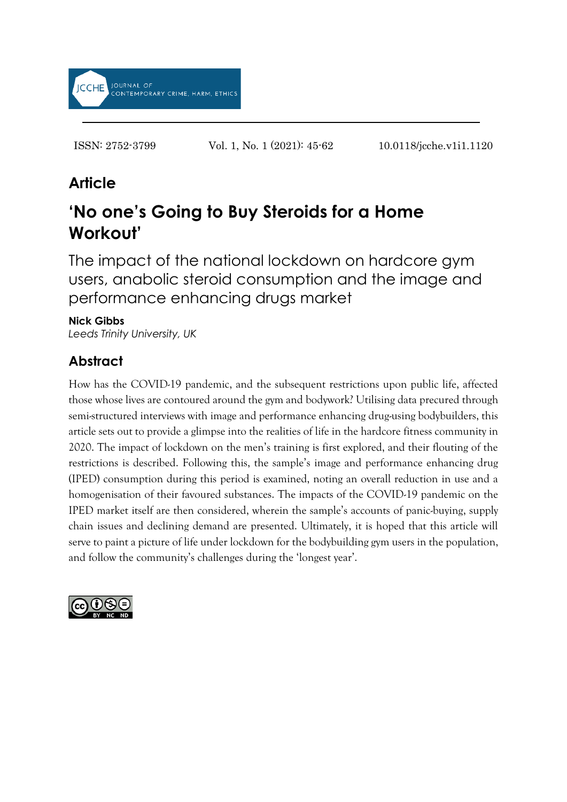

ISSN: 2752-3799 Vol. 1, No. 1 (2021): 45-62 10.0118/jcche.v1i1.1120

# **Article**

# **'No one's Going to Buy Steroids for a Home Workout'**

The impact of the national lockdown on hardcore gym users, anabolic steroid consumption and the image and performance enhancing drugs market

### **Nick Gibbs**

*Leeds Trinity University, UK*

# **Abstract**

How has the COVID-19 pandemic, and the subsequent restrictions upon public life, affected those whose lives are contoured around the gym and bodywork? Utilising data precured through semi-structured interviews with image and performance enhancing drug-using bodybuilders, this article sets out to provide a glimpse into the realities of life in the hardcore fitness community in 2020. The impact of lockdown on the men's training is first explored, and their flouting of the restrictions is described. Following this, the sample's image and performance enhancing drug (IPED) consumption during this period is examined, noting an overall reduction in use and a homogenisation of their favoured substances. The impacts of the COVID-19 pandemic on the IPED market itself are then considered, wherein the sample's accounts of panic-buying, supply chain issues and declining demand are presented. Ultimately, it is hoped that this article will serve to paint a picture of life under lockdown for the bodybuilding gym users in the population, and follow the community's challenges during the 'longest year'.

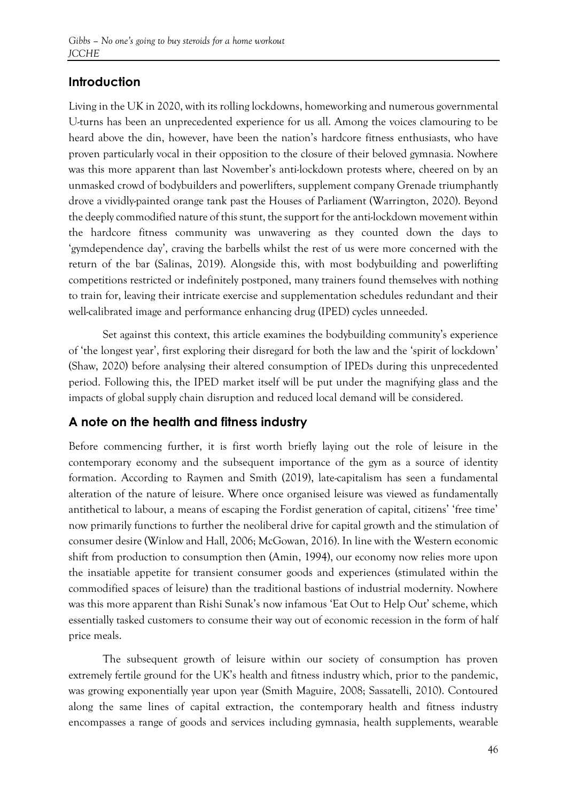# **Introduction**

Living in the UK in 2020, with its rolling lockdowns, homeworking and numerous governmental U-turns has been an unprecedented experience for us all. Among the voices clamouring to be heard above the din, however, have been the nation's hardcore fitness enthusiasts, who have proven particularly vocal in their opposition to the closure of their beloved gymnasia. Nowhere was this more apparent than last November's anti-lockdown protests where, cheered on by an unmasked crowd of bodybuilders and powerlifters, supplement company Grenade triumphantly drove a vividly-painted orange tank past the Houses of Parliament (Warrington, 2020). Beyond the deeply commodified nature of this stunt, the support for the anti-lockdown movement within the hardcore fitness community was unwavering as they counted down the days to 'gymdependence day', craving the barbells whilst the rest of us were more concerned with the return of the bar (Salinas, 2019). Alongside this, with most bodybuilding and powerlifting competitions restricted or indefinitely postponed, many trainers found themselves with nothing to train for, leaving their intricate exercise and supplementation schedules redundant and their well-calibrated image and performance enhancing drug (IPED) cycles unneeded.

Set against this context, this article examines the bodybuilding community's experience of 'the longest year', first exploring their disregard for both the law and the 'spirit of lockdown' (Shaw, 2020) before analysing their altered consumption of IPEDs during this unprecedented period. Following this, the IPED market itself will be put under the magnifying glass and the impacts of global supply chain disruption and reduced local demand will be considered.

### **A note on the health and fitness industry**

Before commencing further, it is first worth briefly laying out the role of leisure in the contemporary economy and the subsequent importance of the gym as a source of identity formation. According to Raymen and Smith (2019), late-capitalism has seen a fundamental alteration of the nature of leisure. Where once organised leisure was viewed as fundamentally antithetical to labour, a means of escaping the Fordist generation of capital, citizens' 'free time' now primarily functions to further the neoliberal drive for capital growth and the stimulation of consumer desire (Winlow and Hall, 2006; McGowan, 2016). In line with the Western economic shift from production to consumption then (Amin, 1994), our economy now relies more upon the insatiable appetite for transient consumer goods and experiences (stimulated within the commodified spaces of leisure) than the traditional bastions of industrial modernity. Nowhere was this more apparent than Rishi Sunak's now infamous 'Eat Out to Help Out' scheme, which essentially tasked customers to consume their way out of economic recession in the form of half price meals.

The subsequent growth of leisure within our society of consumption has proven extremely fertile ground for the UK's health and fitness industry which, prior to the pandemic, was growing exponentially year upon year (Smith Maguire, 2008; Sassatelli, 2010). Contoured along the same lines of capital extraction, the contemporary health and fitness industry encompasses a range of goods and services including gymnasia, health supplements, wearable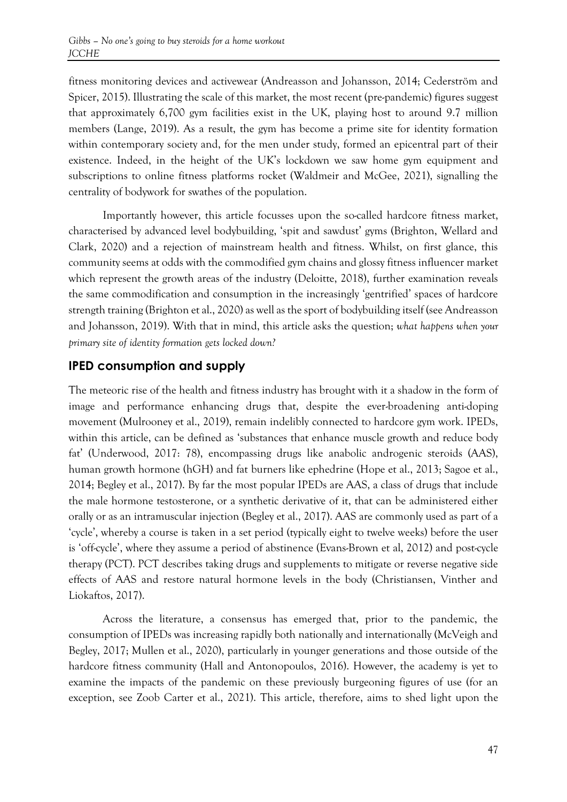fitness monitoring devices and activewear (Andreasson and Johansson, 2014; Cederström and Spicer, 2015). Illustrating the scale of this market, the most recent (pre-pandemic) figures suggest that approximately 6,700 gym facilities exist in the UK, playing host to around 9.7 million members (Lange, 2019). As a result, the gym has become a prime site for identity formation within contemporary society and, for the men under study, formed an epicentral part of their existence. Indeed, in the height of the UK's lockdown we saw home gym equipment and subscriptions to online fitness platforms rocket (Waldmeir and McGee, 2021), signalling the centrality of bodywork for swathes of the population.

Importantly however, this article focusses upon the so-called hardcore fitness market, characterised by advanced level bodybuilding, 'spit and sawdust' gyms (Brighton, Wellard and Clark, 2020) and a rejection of mainstream health and fitness. Whilst, on first glance, this community seems at odds with the commodified gym chains and glossy fitness influencer market which represent the growth areas of the industry (Deloitte, 2018), further examination reveals the same commodification and consumption in the increasingly 'gentrified' spaces of hardcore strength training (Brighton et al., 2020) as well as the sport of bodybuilding itself (see Andreasson and Johansson, 2019). With that in mind, this article asks the question; *what happens when your primary site of identity formation gets locked down?*

### **IPED consumption and supply**

The meteoric rise of the health and fitness industry has brought with it a shadow in the form of image and performance enhancing drugs that, despite the ever-broadening anti-doping movement (Mulrooney et al., 2019), remain indelibly connected to hardcore gym work. IPEDs, within this article, can be defined as 'substances that enhance muscle growth and reduce body fat' (Underwood, 2017: 78), encompassing drugs like anabolic androgenic steroids (AAS), human growth hormone (hGH) and fat burners like ephedrine (Hope et al., 2013; Sagoe et al., 2014; Begley et al., 2017). By far the most popular IPEDs are AAS, a class of drugs that include the male hormone testosterone, or a synthetic derivative of it, that can be administered either orally or as an intramuscular injection (Begley et al., 2017). AAS are commonly used as part of a 'cycle', whereby a course is taken in a set period (typically eight to twelve weeks) before the user is 'off-cycle', where they assume a period of abstinence (Evans-Brown et al, 2012) and post-cycle therapy (PCT). PCT describes taking drugs and supplements to mitigate or reverse negative side effects of AAS and restore natural hormone levels in the body (Christiansen, Vinther and Liokaftos, 2017).

Across the literature, a consensus has emerged that, prior to the pandemic, the consumption of IPEDs was increasing rapidly both nationally and internationally (McVeigh and Begley, 2017; Mullen et al., 2020), particularly in younger generations and those outside of the hardcore fitness community (Hall and Antonopoulos, 2016). However, the academy is yet to examine the impacts of the pandemic on these previously burgeoning figures of use (for an exception, see Zoob Carter et al., 2021). This article, therefore, aims to shed light upon the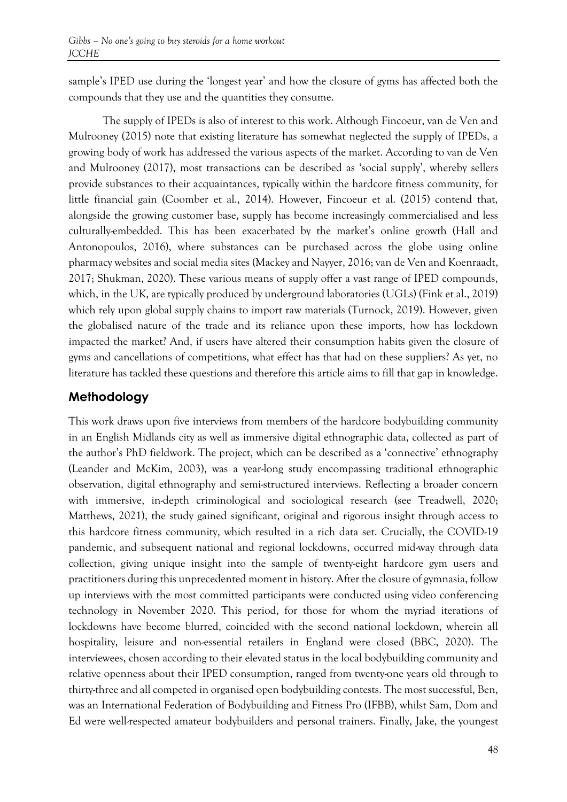sample's IPED use during the 'longest year' and how the closure of gyms has affected both the compounds that they use and the quantities they consume.

The supply of IPEDs is also of interest to this work. Although Fincoeur, van de Ven and Mulrooney (2015) note that existing literature has somewhat neglected the supply of IPEDs, a growing body of work has addressed the various aspects of the market. According to van de Ven and Mulrooney (2017), most transactions can be described as 'social supply', whereby sellers provide substances to their acquaintances, typically within the hardcore fitness community, for little financial gain (Coomber et al., 2014). However, Fincoeur et al. (2015) contend that, alongside the growing customer base, supply has become increasingly commercialised and less culturally-embedded. This has been exacerbated by the market's online growth (Hall and Antonopoulos, 2016), where substances can be purchased across the globe using online pharmacy websites and social media sites (Mackey and Nayyer, 2016; van de Ven and Koenraadt, 2017; Shukman, 2020). These various means of supply offer a vast range of IPED compounds, which, in the UK, are typically produced by underground laboratories (UGLs) (Fink et al., 2019) which rely upon global supply chains to import raw materials (Turnock, 2019). However, given the globalised nature of the trade and its reliance upon these imports, how has lockdown impacted the market? And, if users have altered their consumption habits given the closure of gyms and cancellations of competitions, what effect has that had on these suppliers? As yet, no literature has tackled these questions and therefore this article aims to fill that gap in knowledge.

# **Methodology**

This work draws upon five interviews from members of the hardcore bodybuilding community in an English Midlands city as well as immersive digital ethnographic data, collected as part of the author's PhD fieldwork. The project, which can be described as a 'connective' ethnography (Leander and McKim, 2003), was a year-long study encompassing traditional ethnographic observation, digital ethnography and semi-structured interviews. Reflecting a broader concern with immersive, in-depth criminological and sociological research (see Treadwell, 2020; Matthews, 2021), the study gained significant, original and rigorous insight through access to this hardcore fitness community, which resulted in a rich data set. Crucially, the COVID-19 pandemic, and subsequent national and regional lockdowns, occurred mid-way through data collection, giving unique insight into the sample of twenty-eight hardcore gym users and practitioners during this unprecedented moment in history. After the closure of gymnasia, follow up interviews with the most committed participants were conducted using video conferencing technology in November 2020. This period, for those for whom the myriad iterations of lockdowns have become blurred, coincided with the second national lockdown, wherein all hospitality, leisure and non-essential retailers in England were closed (BBC, 2020). The interviewees, chosen according to their elevated status in the local bodybuilding community and relative openness about their IPED consumption, ranged from twenty-one years old through to thirty-three and all competed in organised open bodybuilding contests. The most successful, Ben, was an International Federation of Bodybuilding and Fitness Pro (IFBB), whilst Sam, Dom and Ed were well-respected amateur bodybuilders and personal trainers. Finally, Jake, the youngest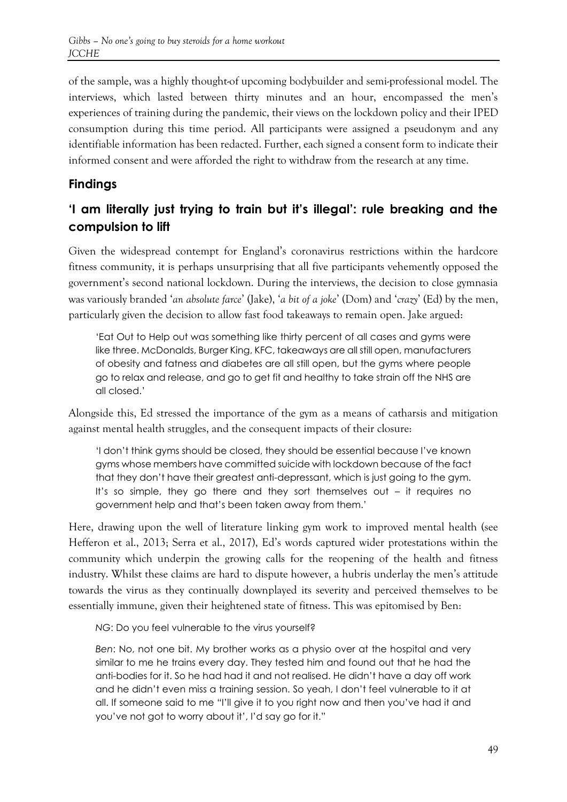of the sample, was a highly thought-of upcoming bodybuilder and semi-professional model. The interviews, which lasted between thirty minutes and an hour, encompassed the men's experiences of training during the pandemic, their views on the lockdown policy and their IPED consumption during this time period. All participants were assigned a pseudonym and any identifiable information has been redacted. Further, each signed a consent form to indicate their informed consent and were afforded the right to withdraw from the research at any time.

# **Findings**

# **'I am literally just trying to train but it's illegal': rule breaking and the compulsion to lift**

Given the widespread contempt for England's coronavirus restrictions within the hardcore fitness community, it is perhaps unsurprising that all five participants vehemently opposed the government's second national lockdown. During the interviews, the decision to close gymnasia was variously branded '*an absolute farce*' (Jake), '*a bit of a joke*' (Dom) and '*crazy*' (Ed) by the men, particularly given the decision to allow fast food takeaways to remain open. Jake argued:

'Eat Out to Help out was something like thirty percent of all cases and gyms were like three. McDonalds, Burger King, KFC, takeaways are all still open, manufacturers of obesity and fatness and diabetes are all still open, but the gyms where people go to relax and release, and go to get fit and healthy to take strain off the NHS are all closed.'

Alongside this, Ed stressed the importance of the gym as a means of catharsis and mitigation against mental health struggles, and the consequent impacts of their closure:

'I don't think gyms should be closed, they should be essential because I've known gyms whose members have committed suicide with lockdown because of the fact that they don't have their greatest anti-depressant, which is just going to the gym. It's so simple, they go there and they sort themselves out – it requires no government help and that's been taken away from them.'

Here, drawing upon the well of literature linking gym work to improved mental health (see Hefferon et al., 2013; Serra et al., 2017), Ed's words captured wider protestations within the community which underpin the growing calls for the reopening of the health and fitness industry. Whilst these claims are hard to dispute however, a hubris underlay the men's attitude towards the virus as they continually downplayed its severity and perceived themselves to be essentially immune, given their heightened state of fitness. This was epitomised by Ben:

*NG*: Do you feel vulnerable to the virus yourself?

*Ben*: No, not one bit. My brother works as a physio over at the hospital and very similar to me he trains every day. They tested him and found out that he had the anti-bodies for it. So he had had it and not realised. He didn't have a day off work and he didn't even miss a training session. So yeah, I don't feel vulnerable to it at all. If someone said to me "I'll give it to you right now and then you've had it and you've not got to worry about it', I'd say go for it."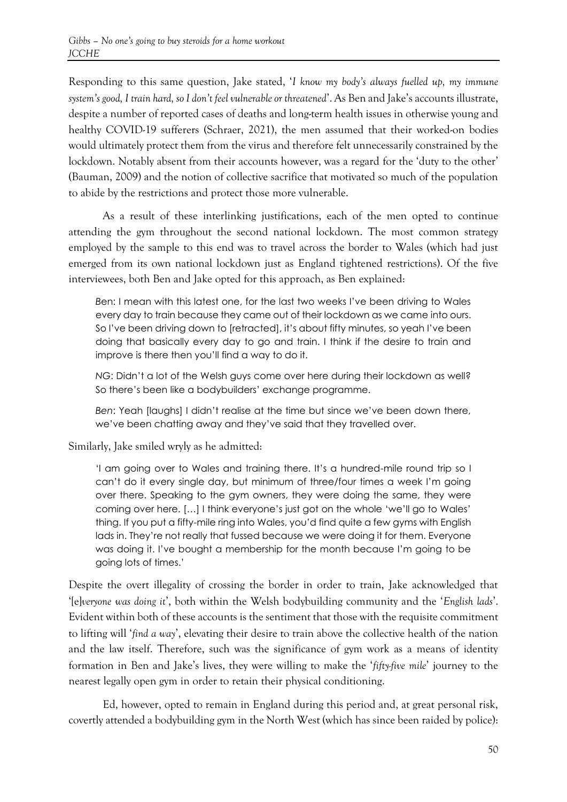Responding to this same question, Jake stated, '*I know my body's always fuelled up, my immune system's good, I train hard, so I don't feel vulnerable or threatened*'. As Ben and Jake's accounts illustrate, despite a number of reported cases of deaths and long-term health issues in otherwise young and healthy COVID-19 sufferers (Schraer, 2021), the men assumed that their worked-on bodies would ultimately protect them from the virus and therefore felt unnecessarily constrained by the lockdown. Notably absent from their accounts however, was a regard for the 'duty to the other' (Bauman, 2009) and the notion of collective sacrifice that motivated so much of the population to abide by the restrictions and protect those more vulnerable.

As a result of these interlinking justifications, each of the men opted to continue attending the gym throughout the second national lockdown. The most common strategy employed by the sample to this end was to travel across the border to Wales (which had just emerged from its own national lockdown just as England tightened restrictions). Of the five interviewees, both Ben and Jake opted for this approach, as Ben explained:

*B*en: I mean with this latest one, for the last two weeks I've been driving to Wales every day to train because they came out of their lockdown as we came into ours. So I've been driving down to [retracted], it's about fifty minutes, so yeah I've been doing that basically every day to go and train. I think if the desire to train and improve is there then you'll find a way to do it.

*NG*: Didn't a lot of the Welsh guys come over here during their lockdown as well? So there's been like a bodybuilders' exchange programme.

*Ben*: Yeah [laughs] I didn't realise at the time but since we've been down there, we've been chatting away and they've said that they travelled over.

Similarly, Jake smiled wryly as he admitted:

'I am going over to Wales and training there. It's a hundred-mile round trip so I can't do it every single day, but minimum of three/four times a week I'm going over there. Speaking to the gym owners, they were doing the same, they were coming over here. […] I think everyone's just got on the whole 'we'll go to Wales' thing. If you put a fifty-mile ring into Wales, you'd find quite a few gyms with English lads in. They're not really that fussed because we were doing it for them. Everyone was doing it. I've bought a membership for the month because I'm going to be going lots of times.'

Despite the overt illegality of crossing the border in order to train, Jake acknowledged that '[e]*veryone was doing it*', both within the Welsh bodybuilding community and the '*English lads*'. Evident within both of these accounts is the sentiment that those with the requisite commitment to lifting will '*find a way*', elevating their desire to train above the collective health of the nation and the law itself. Therefore, such was the significance of gym work as a means of identity formation in Ben and Jake's lives, they were willing to make the '*fifty-five mile*' journey to the nearest legally open gym in order to retain their physical conditioning.

Ed, however, opted to remain in England during this period and, at great personal risk, covertly attended a bodybuilding gym in the North West (which has since been raided by police):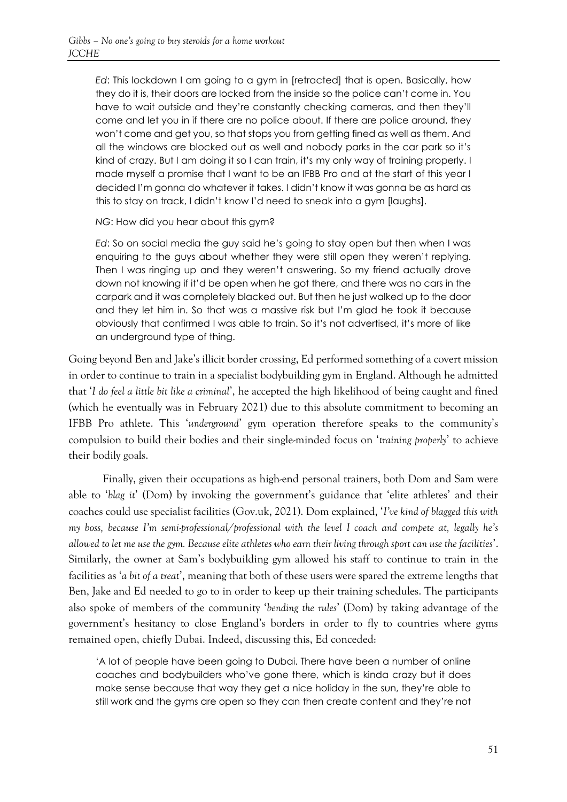*Ed*: This lockdown I am going to a gym in [retracted] that is open. Basically, how they do it is, their doors are locked from the inside so the police can't come in. You have to wait outside and they're constantly checking cameras, and then they'll come and let you in if there are no police about. If there are police around, they won't come and get you, so that stops you from getting fined as well as them. And all the windows are blocked out as well and nobody parks in the car park so it's kind of crazy. But I am doing it so I can train, it's my only way of training properly. I made myself a promise that I want to be an IFBB Pro and at the start of this year I decided I'm gonna do whatever it takes. I didn't know it was gonna be as hard as this to stay on track, I didn't know I'd need to sneak into a gym [laughs].

*NG*: How did you hear about this gym?

*Ed*: So on social media the guy said he's going to stay open but then when I was enquiring to the guys about whether they were still open they weren't replying. Then I was ringing up and they weren't answering. So my friend actually drove down not knowing if it'd be open when he got there, and there was no cars in the carpark and it was completely blacked out. But then he just walked up to the door and they let him in. So that was a massive risk but I'm glad he took it because obviously that confirmed I was able to train. So it's not advertised, it's more of like an underground type of thing.

Going beyond Ben and Jake's illicit border crossing, Ed performed something of a covert mission in order to continue to train in a specialist bodybuilding gym in England. Although he admitted that '*I do feel a little bit like a criminal*', he accepted the high likelihood of being caught and fined (which he eventually was in February 2021) due to this absolute commitment to becoming an IFBB Pro athlete. This '*underground*' gym operation therefore speaks to the community's compulsion to build their bodies and their single-minded focus on '*training properly*' to achieve their bodily goals.

Finally, given their occupations as high-end personal trainers, both Dom and Sam were able to '*blag it*' (Dom) by invoking the government's guidance that 'elite athletes' and their coaches could use specialist facilities (Gov.uk, 2021). Dom explained, '*I've kind of blagged this with my boss, because I'm semi-professional/professional with the level I coach and compete at, legally he's allowed to let me use the gym. Because elite athletes who earn their living through sport can use the facilities*'. Similarly, the owner at Sam's bodybuilding gym allowed his staff to continue to train in the facilities as '*a bit of a treat*', meaning that both of these users were spared the extreme lengths that Ben, Jake and Ed needed to go to in order to keep up their training schedules. The participants also spoke of members of the community '*bending the rules*' (Dom) by taking advantage of the government's hesitancy to close England's borders in order to fly to countries where gyms remained open, chiefly Dubai. Indeed, discussing this, Ed conceded:

'A lot of people have been going to Dubai. There have been a number of online coaches and bodybuilders who've gone there, which is kinda crazy but it does make sense because that way they get a nice holiday in the sun, they're able to still work and the gyms are open so they can then create content and they're not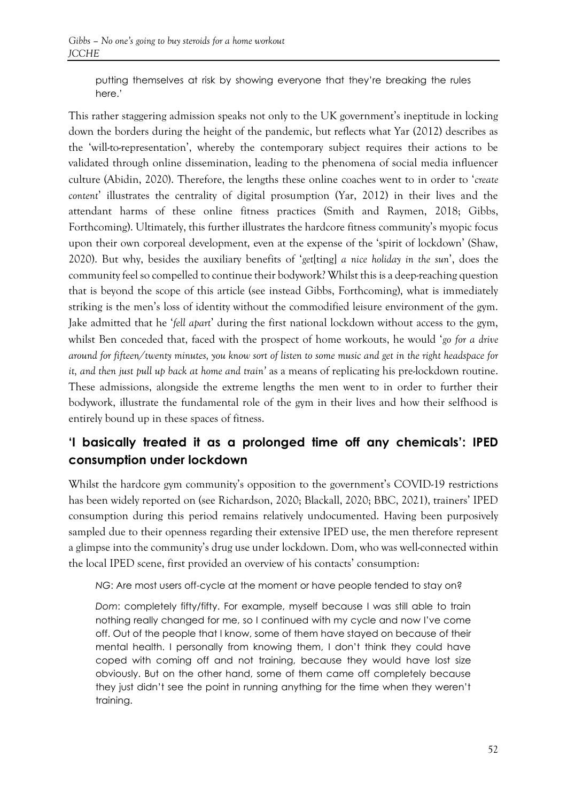putting themselves at risk by showing everyone that they're breaking the rules here.'

This rather staggering admission speaks not only to the UK government's ineptitude in locking down the borders during the height of the pandemic, but reflects what Yar (2012) describes as the 'will-to-representation', whereby the contemporary subject requires their actions to be validated through online dissemination, leading to the phenomena of social media influencer culture (Abidin, 2020). Therefore, the lengths these online coaches went to in order to '*create content*' illustrates the centrality of digital prosumption (Yar, 2012) in their lives and the attendant harms of these online fitness practices (Smith and Raymen, 2018; Gibbs, Forthcoming). Ultimately, this further illustrates the hardcore fitness community's myopic focus upon their own corporeal development, even at the expense of the 'spirit of lockdown' (Shaw, 2020). But why, besides the auxiliary benefits of '*get*[ting] *a nice holiday in the sun*', does the community feel so compelled to continue their bodywork? Whilst this is a deep-reaching question that is beyond the scope of this article (see instead Gibbs, Forthcoming), what is immediately striking is the men's loss of identity without the commodified leisure environment of the gym. Jake admitted that he '*fell apart*' during the first national lockdown without access to the gym, whilst Ben conceded that, faced with the prospect of home workouts, he would '*go for a drive around for fifteen/twenty minutes, you know sort of listen to some music and get in the right headspace for it, and then just pull up back at home and train'* as a means of replicating his pre-lockdown routine. These admissions, alongside the extreme lengths the men went to in order to further their bodywork, illustrate the fundamental role of the gym in their lives and how their selfhood is entirely bound up in these spaces of fitness.

# **'I basically treated it as a prolonged time off any chemicals': IPED consumption under lockdown**

Whilst the hardcore gym community's opposition to the government's COVID-19 restrictions has been widely reported on (see Richardson, 2020; Blackall, 2020; BBC, 2021), trainers' IPED consumption during this period remains relatively undocumented. Having been purposively sampled due to their openness regarding their extensive IPED use, the men therefore represent a glimpse into the community's drug use under lockdown. Dom, who was well-connected within the local IPED scene, first provided an overview of his contacts' consumption:

*NG*: Are most users off-cycle at the moment or have people tended to stay on?

*Dom*: completely fifty/fifty. For example, myself because I was still able to train nothing really changed for me, so I continued with my cycle and now I've come off. Out of the people that I know, some of them have stayed on because of their mental health. I personally from knowing them, I don't think they could have coped with coming off and not training, because they would have lost size obviously. But on the other hand, some of them came off completely because they just didn't see the point in running anything for the time when they weren't training.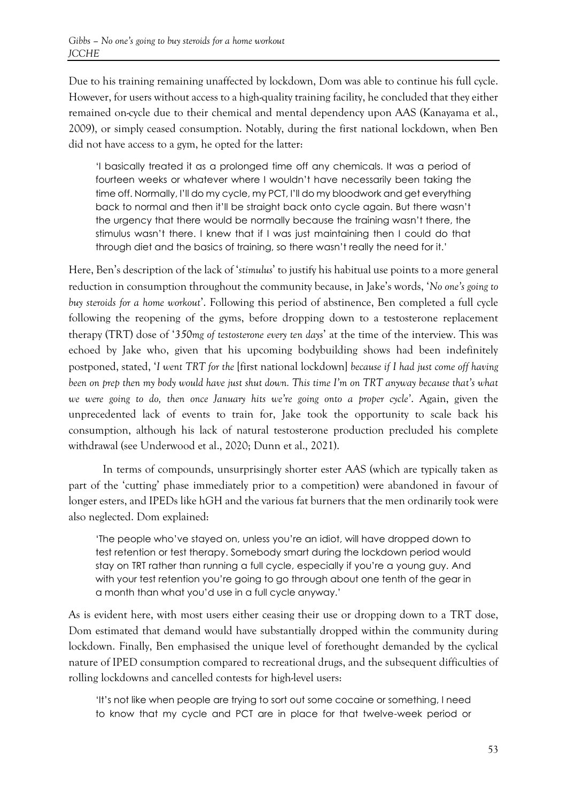Due to his training remaining unaffected by lockdown, Dom was able to continue his full cycle. However, for users without access to a high-quality training facility, he concluded that they either remained on-cycle due to their chemical and mental dependency upon AAS (Kanayama et al., 2009), or simply ceased consumption. Notably, during the first national lockdown, when Ben did not have access to a gym, he opted for the latter:

'I basically treated it as a prolonged time off any chemicals. It was a period of fourteen weeks or whatever where I wouldn't have necessarily been taking the time off. Normally, I'll do my cycle, my PCT, I'll do my bloodwork and get everything back to normal and then it'll be straight back onto cycle again. But there wasn't the urgency that there would be normally because the training wasn't there, the stimulus wasn't there. I knew that if I was just maintaining then I could do that through diet and the basics of training, so there wasn't really the need for it.'

Here, Ben's description of the lack of '*stimulus*' to justify his habitual use points to a more general reduction in consumption throughout the community because, in Jake's words, '*No one's going to buy steroids for a home workout*'. Following this period of abstinence, Ben completed a full cycle following the reopening of the gyms, before dropping down to a testosterone replacement therapy (TRT) dose of '*350mg of testosterone every ten days*' at the time of the interview. This was echoed by Jake who, given that his upcoming bodybuilding shows had been indefinitely postponed, stated, '*I went TRT for the* [first national lockdown] *because if I had just come off having been on prep then my body would have just shut down. This time I'm on TRT anyway because that's what we were going to do, then once January hits we're going onto a proper cycle'*. Again, given the unprecedented lack of events to train for, Jake took the opportunity to scale back his consumption, although his lack of natural testosterone production precluded his complete withdrawal (see Underwood et al., 2020; Dunn et al., 2021).

In terms of compounds, unsurprisingly shorter ester AAS (which are typically taken as part of the 'cutting' phase immediately prior to a competition) were abandoned in favour of longer esters, and IPEDs like hGH and the various fat burners that the men ordinarily took were also neglected. Dom explained:

'The people who've stayed on, unless you're an idiot, will have dropped down to test retention or test therapy. Somebody smart during the lockdown period would stay on TRT rather than running a full cycle, especially if you're a young guy. And with your test retention you're going to go through about one tenth of the gear in a month than what you'd use in a full cycle anyway.'

As is evident here, with most users either ceasing their use or dropping down to a TRT dose, Dom estimated that demand would have substantially dropped within the community during lockdown. Finally, Ben emphasised the unique level of forethought demanded by the cyclical nature of IPED consumption compared to recreational drugs, and the subsequent difficulties of rolling lockdowns and cancelled contests for high-level users:

'It's not like when people are trying to sort out some cocaine or something, I need to know that my cycle and PCT are in place for that twelve-week period or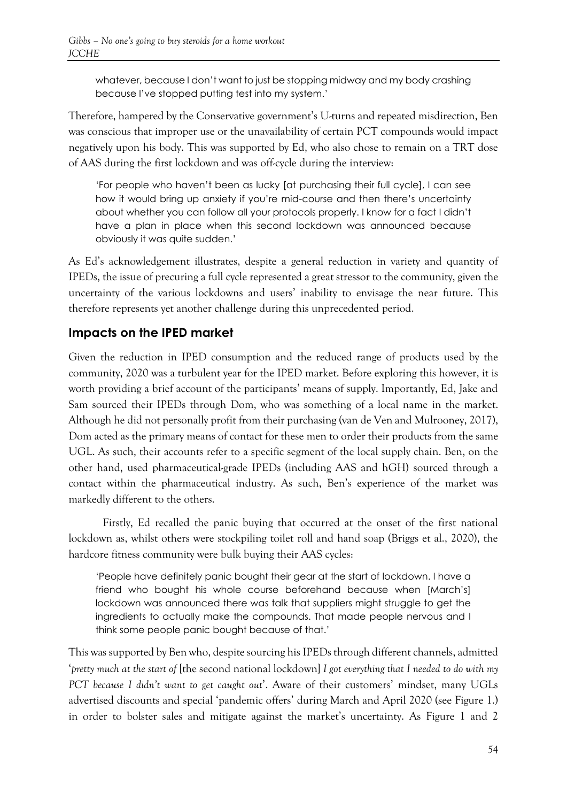whatever, because I don't want to just be stopping midway and my body crashing because I've stopped putting test into my system.'

Therefore, hampered by the Conservative government's U-turns and repeated misdirection, Ben was conscious that improper use or the unavailability of certain PCT compounds would impact negatively upon his body. This was supported by Ed, who also chose to remain on a TRT dose of AAS during the first lockdown and was off-cycle during the interview:

'For people who haven't been as lucky [at purchasing their full cycle], I can see how it would bring up anxiety if you're mid-course and then there's uncertainty about whether you can follow all your protocols properly. I know for a fact I didn't have a plan in place when this second lockdown was announced because obviously it was quite sudden.'

As Ed's acknowledgement illustrates, despite a general reduction in variety and quantity of IPEDs, the issue of precuring a full cycle represented a great stressor to the community, given the uncertainty of the various lockdowns and users' inability to envisage the near future. This therefore represents yet another challenge during this unprecedented period.

# **Impacts on the IPED market**

Given the reduction in IPED consumption and the reduced range of products used by the community, 2020 was a turbulent year for the IPED market. Before exploring this however, it is worth providing a brief account of the participants' means of supply. Importantly, Ed, Jake and Sam sourced their IPEDs through Dom, who was something of a local name in the market. Although he did not personally profit from their purchasing (van de Ven and Mulrooney, 2017), Dom acted as the primary means of contact for these men to order their products from the same UGL. As such, their accounts refer to a specific segment of the local supply chain. Ben, on the other hand, used pharmaceutical-grade IPEDs (including AAS and hGH) sourced through a contact within the pharmaceutical industry. As such, Ben's experience of the market was markedly different to the others.

Firstly, Ed recalled the panic buying that occurred at the onset of the first national lockdown as, whilst others were stockpiling toilet roll and hand soap (Briggs et al., 2020), the hardcore fitness community were bulk buying their AAS cycles:

'People have definitely panic bought their gear at the start of lockdown. I have a friend who bought his whole course beforehand because when [March's] lockdown was announced there was talk that suppliers might struggle to get the ingredients to actually make the compounds. That made people nervous and I think some people panic bought because of that.'

This was supported by Ben who, despite sourcing his IPEDs through different channels, admitted '*pretty much at the start of* [the second national lockdown] *I got everything that I needed to do with my PCT because I didn't want to get caught out*'. Aware of their customers' mindset, many UGLs advertised discounts and special 'pandemic offers' during March and April 2020 (see Figure 1.) in order to bolster sales and mitigate against the market's uncertainty. As Figure 1 and 2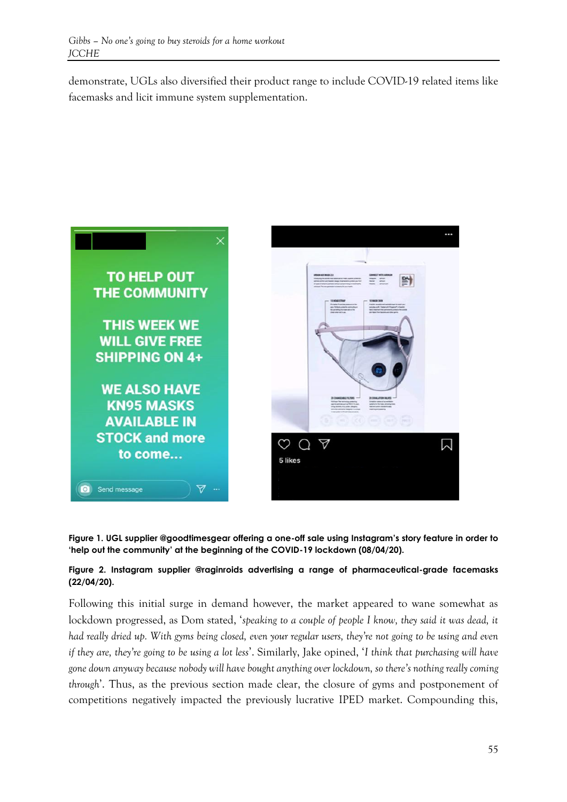demonstrate, UGLs also diversified their product range to include COVID-19 related items like facemasks and licit immune system supplementation.



**Figure 1. UGL supplier @goodtimesgear offering a one-off sale using Instagram's story feature in order to 'help out the community' at the beginning of the COVID-19 lockdown (08/04/20).**

#### **Figure 2. Instagram supplier @raginroids advertising a range of pharmaceutical-grade facemasks (22/04/20).**

Following this initial surge in demand however, the market appeared to wane somewhat as lockdown progressed, as Dom stated, '*speaking to a couple of people I know, they said it was dead, it had really dried up. With gyms being closed, even your regular users, they're not going to be using and even if they are, they're going to be using a lot less*'. Similarly, Jake opined, '*I think that purchasing will have gone down anyway because nobody will have bought anything over lockdown, so there's nothing really coming through*'. Thus, as the previous section made clear, the closure of gyms and postponement of competitions negatively impacted the previously lucrative IPED market. Compounding this,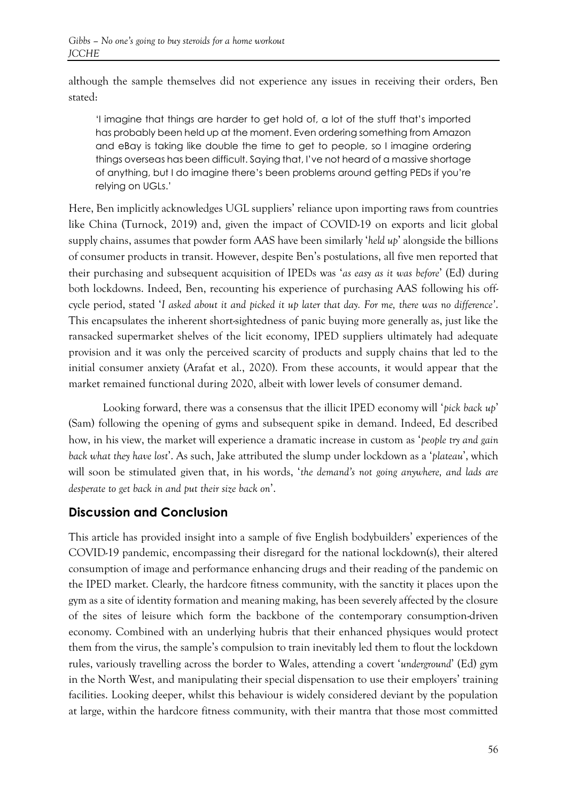although the sample themselves did not experience any issues in receiving their orders, Ben stated:

'I imagine that things are harder to get hold of, a lot of the stuff that's imported has probably been held up at the moment. Even ordering something from Amazon and eBay is taking like double the time to get to people, so I imagine ordering things overseas has been difficult. Saying that, I've not heard of a massive shortage of anything, but I do imagine there's been problems around getting PEDs if you're relying on UGLs.'

Here, Ben implicitly acknowledges UGL suppliers' reliance upon importing raws from countries like China (Turnock, 2019) and, given the impact of COVID-19 on exports and licit global supply chains, assumes that powder form AAS have been similarly '*held up*' alongside the billions of consumer products in transit. However, despite Ben's postulations, all five men reported that their purchasing and subsequent acquisition of IPEDs was '*as easy as it was before*' (Ed) during both lockdowns. Indeed, Ben, recounting his experience of purchasing AAS following his offcycle period, stated '*I asked about it and picked it up later that day. For me, there was no difference'*. This encapsulates the inherent short-sightedness of panic buying more generally as, just like the ransacked supermarket shelves of the licit economy, IPED suppliers ultimately had adequate provision and it was only the perceived scarcity of products and supply chains that led to the initial consumer anxiety (Arafat et al., 2020). From these accounts, it would appear that the market remained functional during 2020, albeit with lower levels of consumer demand.

Looking forward, there was a consensus that the illicit IPED economy will '*pick back up*' (Sam) following the opening of gyms and subsequent spike in demand. Indeed, Ed described how, in his view, the market will experience a dramatic increase in custom as '*people try and gain back what they have lost*'. As such, Jake attributed the slump under lockdown as a '*plateau*', which will soon be stimulated given that, in his words, '*the demand's not going anywhere, and lads are desperate to get back in and put their size back on*'.

### **Discussion and Conclusion**

This article has provided insight into a sample of five English bodybuilders' experiences of the COVID-19 pandemic, encompassing their disregard for the national lockdown(s), their altered consumption of image and performance enhancing drugs and their reading of the pandemic on the IPED market. Clearly, the hardcore fitness community, with the sanctity it places upon the gym as a site of identity formation and meaning making, has been severely affected by the closure of the sites of leisure which form the backbone of the contemporary consumption-driven economy. Combined with an underlying hubris that their enhanced physiques would protect them from the virus, the sample's compulsion to train inevitably led them to flout the lockdown rules, variously travelling across the border to Wales, attending a covert '*underground*' (Ed) gym in the North West, and manipulating their special dispensation to use their employers' training facilities. Looking deeper, whilst this behaviour is widely considered deviant by the population at large, within the hardcore fitness community, with their mantra that those most committed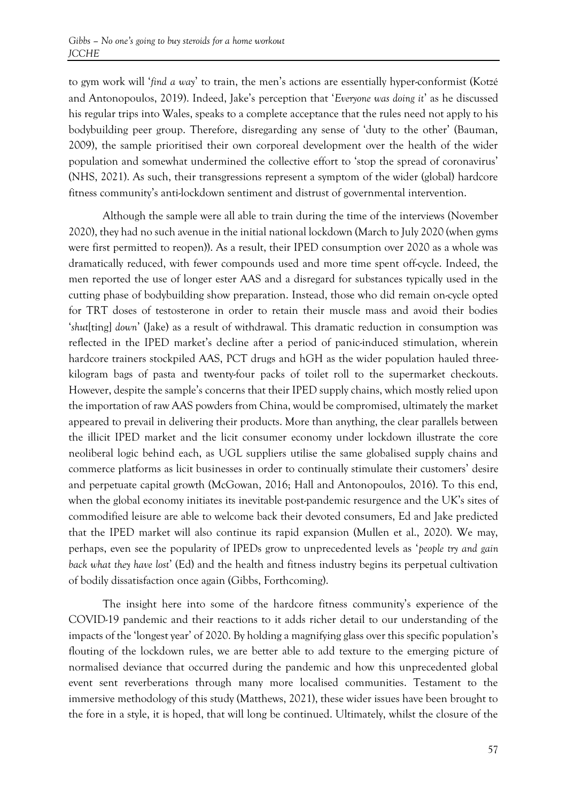to gym work will '*find a way*' to train, the men's actions are essentially hyper-conformist (Kotzé and Antonopoulos, 2019). Indeed, Jake's perception that '*Everyone was doing it*' as he discussed his regular trips into Wales, speaks to a complete acceptance that the rules need not apply to his bodybuilding peer group. Therefore, disregarding any sense of 'duty to the other' (Bauman, 2009), the sample prioritised their own corporeal development over the health of the wider population and somewhat undermined the collective effort to 'stop the spread of coronavirus' (NHS, 2021). As such, their transgressions represent a symptom of the wider (global) hardcore fitness community's anti-lockdown sentiment and distrust of governmental intervention.

Although the sample were all able to train during the time of the interviews (November 2020), they had no such avenue in the initial national lockdown (March to July 2020 (when gyms were first permitted to reopen)). As a result, their IPED consumption over 2020 as a whole was dramatically reduced, with fewer compounds used and more time spent off-cycle. Indeed, the men reported the use of longer ester AAS and a disregard for substances typically used in the cutting phase of bodybuilding show preparation. Instead, those who did remain on-cycle opted for TRT doses of testosterone in order to retain their muscle mass and avoid their bodies '*shut*[ting] *down*' (Jake) as a result of withdrawal. This dramatic reduction in consumption was reflected in the IPED market's decline after a period of panic-induced stimulation, wherein hardcore trainers stockpiled AAS, PCT drugs and hGH as the wider population hauled threekilogram bags of pasta and twenty-four packs of toilet roll to the supermarket checkouts. However, despite the sample's concerns that their IPED supply chains, which mostly relied upon the importation of raw AAS powders from China, would be compromised, ultimately the market appeared to prevail in delivering their products. More than anything, the clear parallels between the illicit IPED market and the licit consumer economy under lockdown illustrate the core neoliberal logic behind each, as UGL suppliers utilise the same globalised supply chains and commerce platforms as licit businesses in order to continually stimulate their customers' desire and perpetuate capital growth (McGowan, 2016; Hall and Antonopoulos, 2016). To this end, when the global economy initiates its inevitable post-pandemic resurgence and the UK's sites of commodified leisure are able to welcome back their devoted consumers, Ed and Jake predicted that the IPED market will also continue its rapid expansion (Mullen et al., 2020). We may, perhaps, even see the popularity of IPEDs grow to unprecedented levels as '*people try and gain back what they have lost*' (Ed) and the health and fitness industry begins its perpetual cultivation of bodily dissatisfaction once again (Gibbs, Forthcoming).

The insight here into some of the hardcore fitness community's experience of the COVID-19 pandemic and their reactions to it adds richer detail to our understanding of the impacts of the 'longest year' of 2020. By holding a magnifying glass over this specific population's flouting of the lockdown rules, we are better able to add texture to the emerging picture of normalised deviance that occurred during the pandemic and how this unprecedented global event sent reverberations through many more localised communities. Testament to the immersive methodology of this study (Matthews, 2021), these wider issues have been brought to the fore in a style, it is hoped, that will long be continued. Ultimately, whilst the closure of the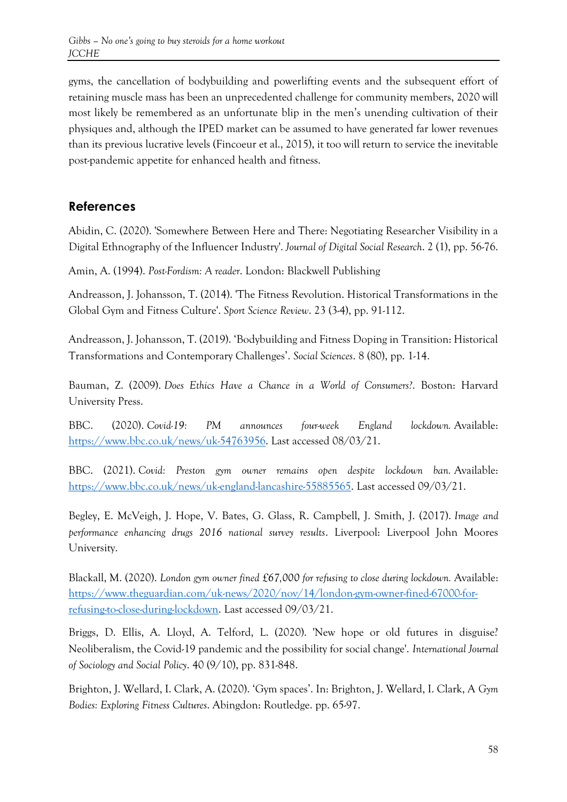gyms, the cancellation of bodybuilding and powerlifting events and the subsequent effort of retaining muscle mass has been an unprecedented challenge for community members, 2020 will most likely be remembered as an unfortunate blip in the men's unending cultivation of their physiques and, although the IPED market can be assumed to have generated far lower revenues than its previous lucrative levels (Fincoeur et al., 2015), it too will return to service the inevitable post-pandemic appetite for enhanced health and fitness.

# **References**

Abidin, C. (2020). 'Somewhere Between Here and There: Negotiating Researcher Visibility in a Digital Ethnography of the Influencer Industry'. *Journal of Digital Social Research*. 2 (1), pp. 56-76.

Amin, A. (1994). *Post-Fordism: A reader*. London: Blackwell Publishing

Andreasson, J. Johansson, T. (2014). 'The Fitness Revolution. Historical Transformations in the Global Gym and Fitness Culture'. *Sport Science Review*. 23 (3-4), pp. 91-112.

Andreasson, J. Johansson, T. (2019). 'Bodybuilding and Fitness Doping in Transition: Historical Transformations and Contemporary Challenges'. *Social Sciences*. 8 (80), pp. 1-14.

Bauman, Z. (2009). *Does Ethics Have a Chance in a World of Consumers?*. Boston: Harvard University Press.

BBC. (2020). *Covid-19: PM announces four-week England lockdown.* Available: [https://www.bbc.co.uk/news/uk-54763956.](https://www.bbc.co.uk/news/uk-54763956) Last accessed 08/03/21.

BBC. (2021). *Covid: Preston gym owner remains open despite lockdown ban.* Available: [https://www.bbc.co.uk/news/uk-england-lancashire-55885565.](https://www.bbc.co.uk/news/uk-england-lancashire-55885565) Last accessed 09/03/21.

Begley, E. McVeigh, J. Hope, V. Bates, G. Glass, R. Campbell, J. Smith, J. (2017). *Image and performance enhancing drugs 2016 national survey results*. Liverpool: Liverpool John Moores University.

Blackall, M. (2020). *London gym owner fined £67,000 for refusing to close during lockdown.* Available: [https://www.theguardian.com/uk-news/2020/nov/14/london-gym-owner-fined-67000-for](https://www.theguardian.com/uk-news/2020/nov/14/london-gym-owner-fined-67000-for-refusing-to-close-during-lockdown)[refusing-to-close-during-lockdown.](https://www.theguardian.com/uk-news/2020/nov/14/london-gym-owner-fined-67000-for-refusing-to-close-during-lockdown) Last accessed 09/03/21.

Briggs, D. Ellis, A. Lloyd, A. Telford, L. (2020). 'New hope or old futures in disguise? Neoliberalism, the Covid-19 pandemic and the possibility for social change'. *International Journal of Sociology and Social Policy*. 40 (9/10), pp. 831-848.

Brighton, J. Wellard, I. Clark, A. (2020). 'Gym spaces'. In: Brighton, J. Wellard, I. Clark, A *Gym Bodies: Exploring Fitness Cultures*. Abingdon: Routledge. pp. 65-97.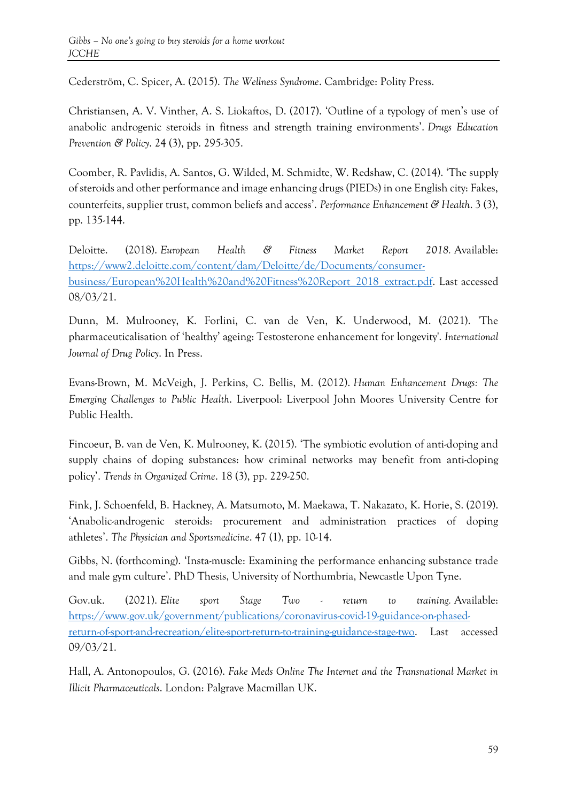Cederström, C. Spicer, A. (2015). *The Wellness Syndrome*. Cambridge: Polity Press.

Christiansen, A. V. Vinther, A. S. Liokaftos, D. (2017). 'Outline of a typology of men's use of anabolic androgenic steroids in fitness and strength training environments'. *Drugs Education Prevention & Policy*. 24 (3), pp. 295-305.

Coomber, R. Pavlidis, A. Santos, G. Wilded, M. Schmidte, W. Redshaw, C. (2014). 'The supply of steroids and other performance and image enhancing drugs (PIEDs) in one English city: Fakes, counterfeits, supplier trust, common beliefs and access'. *Performance Enhancement & Health*. 3 (3), pp. 135-144.

Deloitte. (2018). *European Health & Fitness Market Report 2018.* Available: [https://www2.deloitte.com/content/dam/Deloitte/de/Documents/consumer](https://www2.deloitte.com/content/dam/Deloitte/de/Documents/consumer-business/European%20Health%20and%20Fitness%20Report_2018_extract.pdf)[business/European%20Health%20and%20Fitness%20Report\\_2018\\_extract.pdf.](https://www2.deloitte.com/content/dam/Deloitte/de/Documents/consumer-business/European%20Health%20and%20Fitness%20Report_2018_extract.pdf) Last accessed 08/03/21.

Dunn, M. Mulrooney, K. Forlini, C. van de Ven, K. Underwood, M. (2021). 'The pharmaceuticalisation of 'healthy' ageing: Testosterone enhancement for longevity'. *International Journal of Drug Policy*. In Press.

Evans-Brown, M. McVeigh, J. Perkins, C. Bellis, M. (2012). *Human Enhancement Drugs: The Emerging Challenges to Public Health*. Liverpool: Liverpool John Moores University Centre for Public Health.

Fincoeur, B. van de Ven, K. Mulrooney, K. (2015). 'The symbiotic evolution of anti-doping and supply chains of doping substances: how criminal networks may benefit from anti-doping policy'. *Trends in Organized Crime*. 18 (3), pp. 229-250.

Fink, J. Schoenfeld, B. Hackney, A. Matsumoto, M. Maekawa, T. Nakazato, K. Horie, S. (2019). 'Anabolic-androgenic steroids: procurement and administration practices of doping athletes'. *The Physician and Sportsmedicine*. 47 (1), pp. 10-14.

Gibbs, N. (forthcoming). 'Insta-muscle: Examining the performance enhancing substance trade and male gym culture'. PhD Thesis, University of Northumbria, Newcastle Upon Tyne.

Gov.uk. (2021). *Elite sport Stage Two - return to training.* Available: [https://www.gov.uk/government/publications/coronavirus-covid-19-guidance-on-phased](https://www.gov.uk/government/publications/coronavirus-covid-19-guidance-on-phased-return-of-sport-and-recreation/elite-sport-return-to-training-guidance-stage-two)[return-of-sport-and-recreation/elite-sport-return-to-training-guidance-stage-two.](https://www.gov.uk/government/publications/coronavirus-covid-19-guidance-on-phased-return-of-sport-and-recreation/elite-sport-return-to-training-guidance-stage-two) Last accessed 09/03/21.

Hall, A. Antonopoulos, G. (2016). *Fake Meds Online The Internet and the Transnational Market in Illicit Pharmaceuticals*. London: Palgrave Macmillan UK.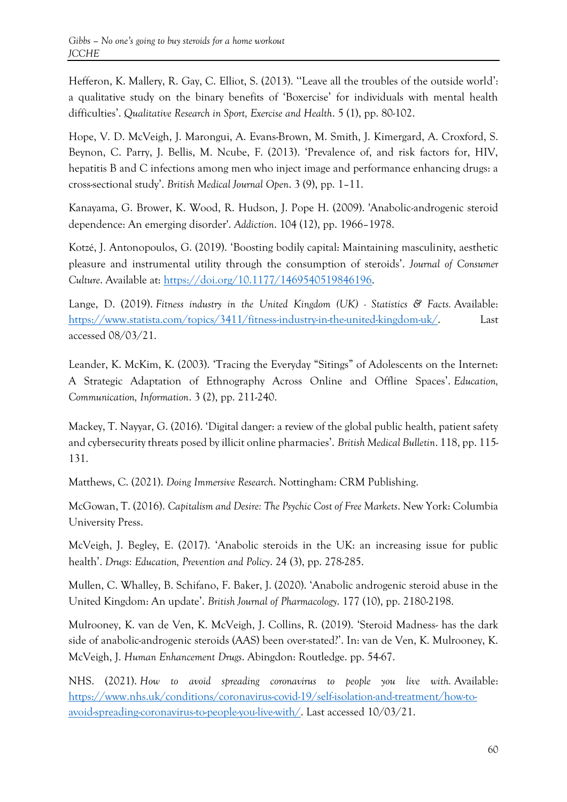Hefferon, K. Mallery, R. Gay, C. Elliot, S. (2013). ''Leave all the troubles of the outside world': a qualitative study on the binary benefits of 'Boxercise' for individuals with mental health difficulties'. *Qualitative Research in Sport, Exercise and Health*. 5 (1), pp. 80-102.

Hope, V. D. McVeigh, J. Marongui, A. Evans-Brown, M. Smith, J. Kimergard, A. Croxford, S. Beynon, C. Parry, J. Bellis, M. Ncube, F. (2013). 'Prevalence of, and risk factors for, HIV, hepatitis B and C infections among men who inject image and performance enhancing drugs: a cross-sectional study'. *British Medical Journal Open*. 3 (9), pp. 1–11.

Kanayama, G. Brower, K. Wood, R. Hudson, J. Pope H. (2009). 'Anabolic-androgenic steroid dependence: An emerging disorder'. *Addiction*. 104 (12), pp. 1966–1978.

Kotzé, J. Antonopoulos, G. (2019). 'Boosting bodily capital: Maintaining masculinity, aesthetic pleasure and instrumental utility through the consumption of steroids'. *Journal of Consumer Culture*. Available at: [https://doi.org/10.1177/1469540519846196.](https://doi.org/10.1177/1469540519846196)

Lange, D. (2019). *Fitness industry in the United Kingdom (UK) - Statistics & Facts.* Available: [https://www.statista.com/topics/3411/fitness-industry-in-the-united-kingdom-uk/.](https://www.statista.com/topics/3411/fitness-industry-in-the-united-kingdom-uk/) Last accessed 08/03/21.

Leander, K. McKim, K. (2003). 'Tracing the Everyday "Sitings" of Adolescents on the Internet: A Strategic Adaptation of Ethnography Across Online and Offline Spaces'. *Education, Communication, Information*. 3 (2), pp. 211-240.

Mackey, T. Nayyar, G. (2016). 'Digital danger: a review of the global public health, patient safety and cybersecurity threats posed by illicit online pharmacies'. *British Medical Bulletin*. 118, pp. 115- 131.

Matthews, C. (2021). *Doing Immersive Research*. Nottingham: CRM Publishing.

McGowan, T. (2016). *Capitalism and Desire: The Psychic Cost of Free Markets*. New York: Columbia University Press.

McVeigh, J. Begley, E. (2017). 'Anabolic steroids in the UK: an increasing issue for public health'. *Drugs: Education, Prevention and Policy*. 24 (3), pp. 278-285.

Mullen, C. Whalley, B. Schifano, F. Baker, J. (2020). 'Anabolic androgenic steroid abuse in the United Kingdom: An update'. *British Journal of Pharmacology*. 177 (10), pp. 2180-2198.

Mulrooney, K. van de Ven, K. McVeigh, J. Collins, R. (2019). 'Steroid Madness- has the dark side of anabolic-androgenic steroids (AAS) been over-stated?'. In: van de Ven, K. Mulrooney, K. McVeigh, J. *Human Enhancement Drugs*. Abingdon: Routledge. pp. 54-67.

NHS. (2021). *How to avoid spreading coronavirus to people you live with.* Available: [https://www.nhs.uk/conditions/coronavirus-covid-19/self-isolation-and-treatment/how-to](https://www.nhs.uk/conditions/coronavirus-covid-19/self-isolation-and-treatment/how-to-avoid-spreading-coronavirus-to-people-you-live-with/)[avoid-spreading-coronavirus-to-people-you-live-with/.](https://www.nhs.uk/conditions/coronavirus-covid-19/self-isolation-and-treatment/how-to-avoid-spreading-coronavirus-to-people-you-live-with/) Last accessed 10/03/21.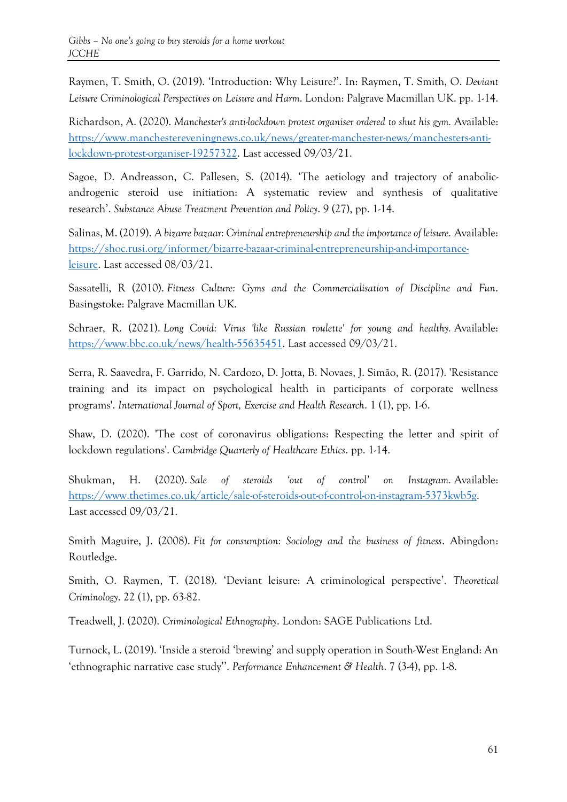Raymen, T. Smith, O. (2019). 'Introduction: Why Leisure?'. In: Raymen, T. Smith, O. *Deviant Leisure Criminological Perspectives on Leisure and Harm*. London: Palgrave Macmillan UK. pp. 1-14.

Richardson, A. (2020). *Manchester's anti-lockdown protest organiser ordered to shut his gym.* Available: [https://www.manchestereveningnews.co.uk/news/greater-manchester-news/manchesters-anti](https://www.manchestereveningnews.co.uk/news/greater-manchester-news/manchesters-anti-lockdown-protest-organiser-19257322)[lockdown-protest-organiser-19257322.](https://www.manchestereveningnews.co.uk/news/greater-manchester-news/manchesters-anti-lockdown-protest-organiser-19257322) Last accessed 09/03/21.

Sagoe, D. Andreasson, C. Pallesen, S. (2014). 'The aetiology and trajectory of anabolicandrogenic steroid use initiation: A systematic review and synthesis of qualitative research'. *Substance Abuse Treatment Prevention and Policy*. 9 (27), pp. 1-14.

Salinas, M. (2019). *A bizarre bazaar: Criminal entrepreneurship and the importance of leisure.* Available: [https://shoc.rusi.org/informer/bizarre-bazaar-criminal-entrepreneurship-and-importance](https://shoc.rusi.org/informer/bizarre-bazaar-criminal-entrepreneurship-and-importance-leisure)[leisure.](https://shoc.rusi.org/informer/bizarre-bazaar-criminal-entrepreneurship-and-importance-leisure) Last accessed 08/03/21.

Sassatelli, R (2010). *Fitness Culture: Gyms and the Commercialisation of Discipline and Fun*. Basingstoke: Palgrave Macmillan UK.

Schraer, R. (2021). *Long Covid: Virus 'like Russian roulette' for young and healthy.* Available: [https://www.bbc.co.uk/news/health-55635451.](https://www.bbc.co.uk/news/health-55635451) Last accessed 09/03/21.

Serra, R. Saavedra, F. Garrido, N. Cardozo, D. Jotta, B. Novaes, J. Simão, R. (2017). 'Resistance training and its impact on psychological health in participants of corporate wellness programs'. *International Journal of Sport, Exercise and Health Research*. 1 (1), pp. 1-6.

Shaw, D. (2020). 'The cost of coronavirus obligations: Respecting the letter and spirit of lockdown regulations'. *Cambridge Quarterly of Healthcare Ethics*. pp. 1-14.

Shukman, H. (2020). *Sale of steroids 'out of control' on Instagram.* Available: [https://www.thetimes.co.uk/article/sale-of-steroids-out-of-control-on-instagram-5373kwb5g.](https://www.thetimes.co.uk/article/sale-of-steroids-out-of-control-on-instagram-5373kwb5g) Last accessed 09/03/21.

Smith Maguire, J. (2008). *Fit for consumption: Sociology and the business of fitness*. Abingdon: Routledge.

Smith, O. Raymen, T. (2018). 'Deviant leisure: A criminological perspective'. *Theoretical Criminology*. 22 (1), pp. 63-82.

Treadwell, J. (2020). *Criminological Ethnography*. London: SAGE Publications Ltd.

Turnock, L. (2019). 'Inside a steroid 'brewing' and supply operation in South-West England: An 'ethnographic narrative case study''. *Performance Enhancement & Health*. 7 (3-4), pp. 1-8.